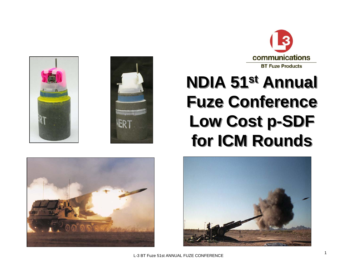









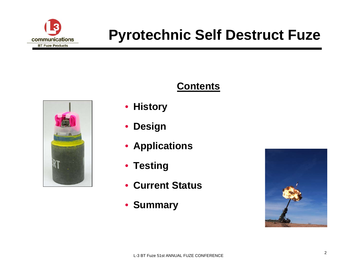





- **History**
- $\bullet$ **Design**
- **Applications**
- **Testing**
- **Current Status**
- **Summary**

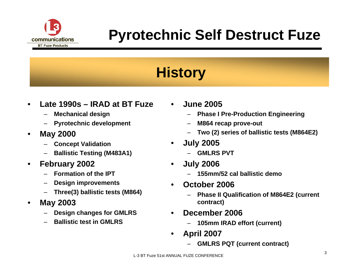

# **History**

- • **Late 1990s – IRAD at BT Fuze**
	- –**Mechanical design**
	- **Pyrotechnic development**
- • **May 2000** 
	- **Concept Validation**
	- **Ballistic Testing (M483A1)**
- $\bullet$  **February 2002**
	- **Formation of the IPT**
	- –**Design improvements**
	- –**Three(3) ballistic tests (M864)**
- • **May 2003**
	- **Design changes for GMLRS**
	- –**Ballistic test in GMLRS**
- $\bullet$  **June 2005**
	- **Phase I Pre-Production Engineering**
	- –**M864 recap prove-out**
	- –**Two (2) series of ballistic tests (M864E2)**
- • **July 2005**
	- **GMLRS PVT**
- • **July 2006**
	- **155mm/52 cal ballistic demo**
- • **October 2006**
	- **Phase II Qualification of M864E2 (current contract)**
- • **December 2006**
	- **105mm IRAD effort (current)**
- • **April 2007**
	- **GMLRS PQT (current contract)**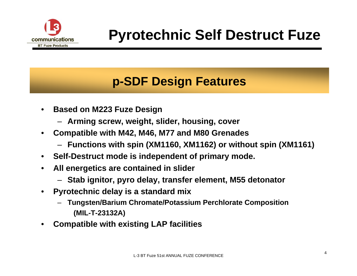

### **p-SDF Design Features**

- • **Based on M223 Fuze Design**
	- **Arming screw, weight, slider, housing, cover**
- • **Compatible with M42, M46, M77 and M80 Grenades**
	- **Functions with spin (XM1160, XM1162) or without spin (XM1161)**
- •**Self-Destruct mode is independent of primary mode.**
- • **All energetics are contained in slider**
	- **Stab ignitor, pyro delay, transfer element, M55 detonator**
- • **Pyrotechnic delay is a standard mix** 
	- **Tungsten/Barium Chromate/Potassium Perchlorate Composition (MIL-T-23132A)**
- •**Compatible with existing LAP facilities**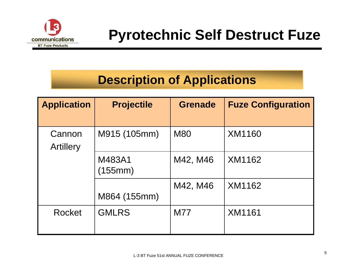

### **Description of Applications**

| <b>Application</b>         | <b>Projectile</b> | <b>Grenade</b> | <b>Fuze Configuration</b> |
|----------------------------|-------------------|----------------|---------------------------|
| Cannon<br><b>Artillery</b> | M915 (105mm)      | <b>M80</b>     | XM1160                    |
|                            | M483A1<br>(155mm) | M42, M46       | XM1162                    |
|                            | M864 (155mm)      | M42, M46       | XM1162                    |
| Rocket                     | <b>GMLRS</b>      | <b>M77</b>     | <b>XM1161</b>             |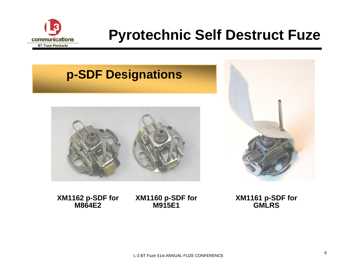

#### **p-SDF Designations**





**XM1162 p-SDF for M864E2**

**XM1160 p-SDF for M915E1**

**XM1161 p-SDF for GMLRS**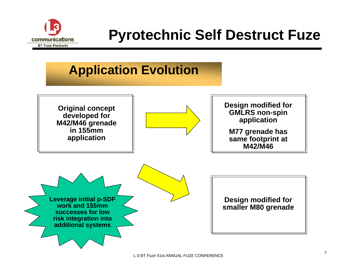

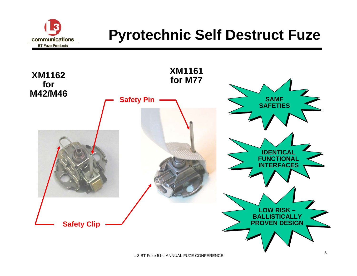

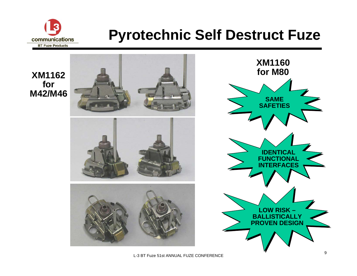

#### **XM1162 for M42/M46**



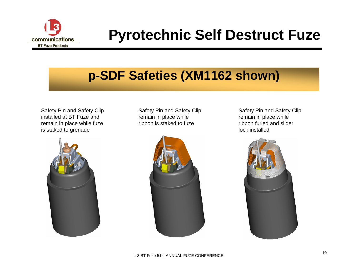

## **p-SDF Safeties (XM1162 shown)**

Safety Pin and Safety Clip installed at BT Fuze and remain in place while fuze is staked to grenade



Safety Pin and Safety Clip remain in place while ribbon is staked to fuze



Safety Pin and Safety Clip remain in place while ribbon furled and slider lock installed

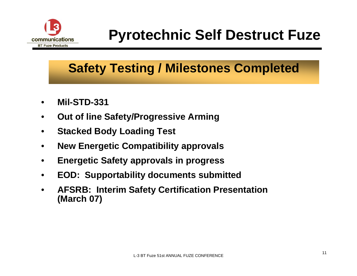

## **Safety Testing / Milestones Completed**

- •**Mil-STD-331**
- •**Out of line Safety/Progressive Arming**
- •**Stacked Body Loading Test**
- •**New Energetic Compatibility approvals**
- •**Energetic Safety approvals in progress**
- •**EOD: Supportability documents submitted**
- • **AFSRB: Interim Safety Certification Presentation (March 07)**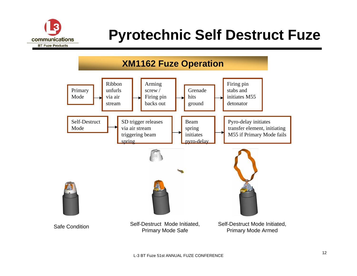

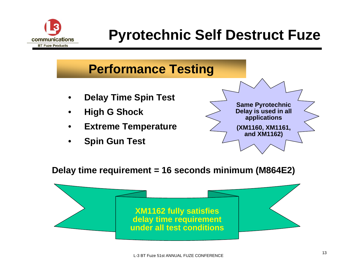

#### **Performance Testing**

- •**Delay Time Spin Test**
- •**High G Shock**
- •**Extreme Temperature**
- •**Spin Gun Test**



**Delay time requirement = 16 seconds minimum (M864E2)**

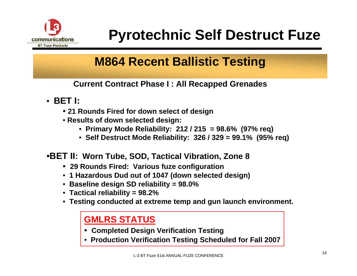

### **M864 Recent Ballistic Testing**

**Current Contract Phase I : All Recapped Grenades**

- **BET I:**
	- **21 Rounds Fired for down select of design**
	- **Results of down selected design:**
		- **Primary Mode Reliability: 212 / 215 = 98.6% (97% req)**
		- **Self Destruct Mode Reliability: 326 / 329 = 99.1% (95% req)**
- •**BET II: Worn Tube, SOD, Tactical Vibration, Zone 8**
	- **29 Rounds Fired: Various fuze configuration**
	- **1 Hazardous Dud out of 1047 (down selected design)**
	- **Baseline design SD reliability = 98.0%**
	- **Tactical reliability = 98.2%**
	- **Testing conducted at extreme temp and gun launch environment.**

#### **GMLRS STATUS**

- **Completed Design Verification Testing**
- **Production Verification Testing Scheduled for Fall 2007**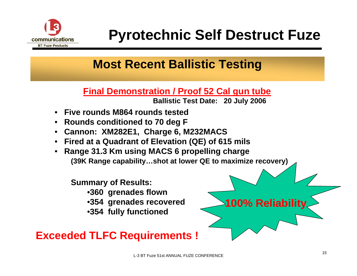

### **Most Recent Ballistic Testing**

**Final Demonstration / Proof 52 Cal gun tube**

**Ballistic Test Date: 20 July 2006**

- **Five rounds M864 rounds tested**
- **Rounds conditioned to 70 deg F**
- **Cannon: XM282E1, Charge 6, M232MACS**
- **Fired at a Quadrant of Elevation (QE) of 615 mils**
- • **Range 31.3 Km using MACS 6 propelling charge (39K Range capability…shot at lower QE to maximize recovery)**

#### **Summary of Results:**

- •**360 grenades flown**
- •**354 grenades recovered**
- •**354 fully functioned**

#### **Exceeded TLFC Requirements !**

**100% Reliability**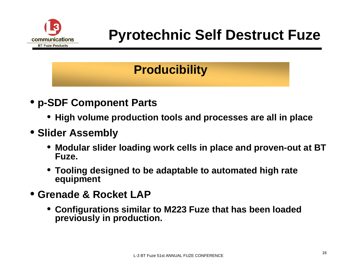

### **Producibility**

- **p-SDF Component Parts**
	- **High volume production tools and processes are all in place**

#### • **Slider Assembly**

- **Modular slider loading work cells in place and proven-out at BT Fuze.**
- **Tooling designed to be adaptable to automated high rate equipment**
- **Grenade & Rocket LAP**
	- **Configurations similar to M223 Fuze that has been loaded previously in production.**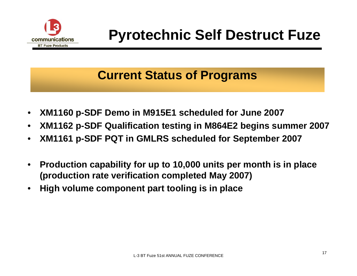

#### **Current Status of Programs**

- •**XM1160 p-SDF Demo in M915E1 scheduled for June 2007**
- •**XM1162 p-SDF Qualification testing in M864E2 begins summer 2007**
- •**XM1161 p-SDF PQT in GMLRS scheduled for September 2007**
- • **Production capability for up to 10,000 units per month is in place (production rate verification completed May 2007)**
- •**High volume component part tooling is in place**